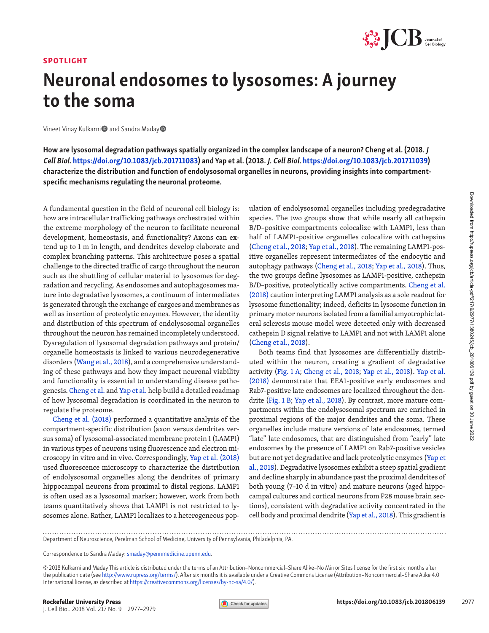## SPOTLIGHT



## Neuronal endosomes to lysosomes: A journey to the soma

Vineet Vinay Kulkarni<sup>n</sup> and Sandra Maday<sup>n</sup>

How are lysosomal degradation pathways spatially organized in the complex landscape of a neuron? Cheng et al. (2018. J Cell Biol. [https://doi.org/10.1083/jcb.201711083\)](https://doi.org/10.1083/jcb.201711083) and Yap et al. (2018. J. Cell Biol. <https://doi.org/10.1083/jcb.201711039>) characterize the distribution and function of endolysosomal organelles in neurons, providing insights into compartmentspecific mechanisms regulating the neuronal proteome.

A fundamental question in the field of neuronal cell biology is:<br>A fundamental question in the field of neuron to facilitate neuronal<br>development, homeostasis, and functionality? Axons can ex-<br>tend up to 1 m in length, an how are intracellular trafficking pathways orchestrated within the extreme morphology of the neuron to facilitate neuronal development, homeostasis, and functionality? Axons can extend up to 1 m in length, and dendrites develop elaborate and complex branching patterns. This architecture poses a spatial challenge to the directed traffic of cargo throughout the neuron such as the shuttling of cellular material to lysosomes for degradation and recycling. As endosomes and autophagosomes mature into degradative lysosomes, a continuum of intermediates is generated through the exchange of cargoes and membranes as well as insertion of proteolytic enzymes. However, the identity and distribution of this spectrum of endolysosomal organelles throughout the neuron has remained incompletely understood. Dysregulation of lysosomal degradation pathways and protein/ organelle homeostasis is linked to various neurodegenerative disorders ([Wang et al., 2018\)](#page-2-0), and a comprehensive understanding of these pathways and how they impact neuronal viability and functionality is essential to understanding disease pathogenesis. [Cheng et al.](https://doi.org/10.1083/jcb.201711083) and [Yap et al.](https://doi.org/10.1083/jcb.201711039) help build a detailed roadmap of how lysosomal degradation is coordinated in the neuron to regulate the proteome.

[Cheng et al. \(2018\)](#page-2-1) performed a quantitative analysis of the compartment-specific distribution (axon versus dendrites versus soma) of lysosomal-associated membrane protein 1 (LAMP1) in various types of neurons using fluorescence and electron microscopy in vitro and in vivo. Correspondingly, [Yap et al. \(2018\)](#page-2-2) used fluorescence microscopy to characterize the distribution of endolysosomal organelles along the dendrites of primary hippocampal neurons from proximal to distal regions. LAMP1 is often used as a lysosomal marker; however, work from both teams quantitatively shows that LAMP1 is not restricted to lysosomes alone. Rather, LAMP1 localizes to a heterogeneous pop-

ulation of endolysosomal organelles including predegradative species. The two groups show that while nearly all cathepsin B/D–positive compartments colocalize with LAMP1, less than half of LAMP1-positive organelles colocalize with cathepsins [\(Cheng et al., 2018;](#page-2-1) [Yap et al., 2018\)](#page-2-2). The remaining LAMP1-positive organelles represent intermediates of the endocytic and autophagy pathways [\(Cheng et al., 2018;](#page-2-1) [Yap et al., 2018](#page-2-2)). Thus, the two groups define lysosomes as LAMP1-positive, cathepsin B/D–positive, proteolytically active compartments. [Cheng et al.](#page-2-1) [\(2018\)](#page-2-1) caution interpreting LAMP1 analysis as a sole readout for lysosome functionality; indeed, deficits in lysosome function in primary motor neurons isolated from a familial amyotrophic lateral sclerosis mouse model were detected only with decreased cathepsin D signal relative to LAMP1 and not with LAMP1 alone [\(Cheng et al., 2018\)](#page-2-1).

Both teams find that lysosomes are differentially distributed within the neuron, creating a gradient of degradative activity [\(Fig. 1 A;](#page-1-0) [Cheng et al., 2018;](#page-2-1) [Yap et al., 2018\)](#page-2-2). [Yap et al.](#page-2-2) [\(2018\)](#page-2-2) demonstrate that EEA1-positive early endosomes and Rab7-positive late endosomes are localized throughout the dendrite [\(Fig. 1 B](#page-1-0); [Yap et al., 2018\)](#page-2-2). By contrast, more mature compartments within the endolysosomal spectrum are enriched in proximal regions of the major dendrites and the soma. These organelles include mature versions of late endosomes, termed "late" late endosomes, that are distinguished from "early" late endosomes by the presence of LAMP1 on Rab7-positive vesicles but are not yet degradative and lack proteolytic enzymes [\(Yap et](#page-2-2) [al., 2018\)](#page-2-2). Degradative lysosomes exhibit a steep spatial gradient and decline sharply in abundance past the proximal dendrites of both young (7–10 d in vitro) and mature neurons (aged hippocampal cultures and cortical neurons from P28 mouse brain sections), consistent with degradative activity concentrated in the cell body and proximal dendrite ([Yap et al., 2018](#page-2-2)). This gradient is

Department of Neuroscience, Perelman School of Medicine, University of Pennsylvania, Philadelphia, PA.

Correspondence to Sandra Maday: [smaday@pennmedicine.upenn.edu](mailto:smaday@pennmedicine.upenn.edu).

© 2018 Kulkarni and Maday This article is distributed under the terms of an Attribution–Noncommercial–Share Alike–No Mirror Sites license for the first six months after the publication date (see <http://www.rupress.org/terms/>). After six months it is available under a Creative Commons License (Attribution–Noncommercial–Share Alike 4.0 International license, as described at [https://creativecommons.org/licenses/by-nc-sa/4.0/\)](https://creativecommons.org/licenses/by-nc-sa/4.0/).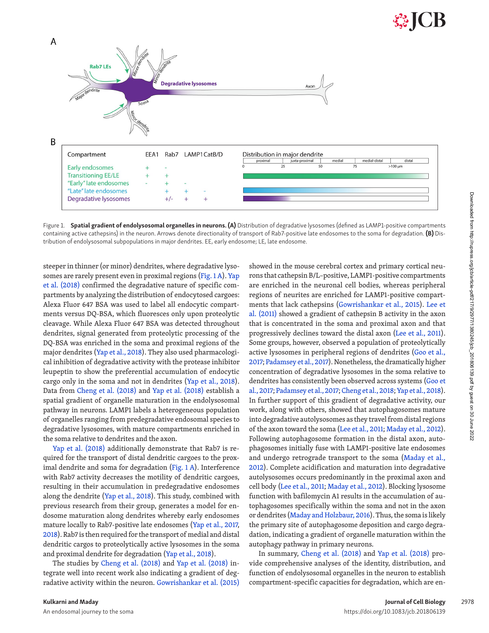

<span id="page-1-0"></span>Figure 1. Spatial gradient of endolysosomal organelles in neurons. (A) Distribution of degradative lysosomes (defined as LAMP1-positive compartments containing active cathepsins) in the neuron. Arrows denote directionality of transport of Rab7-positive late endosomes to the soma for degradation. (B) Distribution of endolysosomal subpopulations in major dendrites. EE, early endosome; LE, late endosome.

steeper in thinner (or minor) dendrites, where degradative lysosomes are rarely present even in proximal regions [\(Fig. 1 A](#page-1-0)). [Yap](#page-2-2) [et al. \(2018\)](#page-2-2) confirmed the degradative nature of specific compartments by analyzing the distribution of endocytosed cargoes: Alexa Fluor 647 BSA was used to label all endocytic compartments versus DQ-BSA, which fluoresces only upon proteolytic cleavage. While Alexa Fluor 647 BSA was detected throughout dendrites, signal generated from proteolytic processing of the DQ-BSA was enriched in the soma and proximal regions of the major dendrites ([Yap et al., 2018\)](#page-2-2). They also used pharmacological inhibition of degradative activity with the protease inhibitor leupeptin to show the preferential accumulation of endocytic cargo only in the soma and not in dendrites [\(Yap et al., 2018](#page-2-2)). Data from [Cheng et al. \(2018\)](#page-2-1) and [Yap et al. \(2018\)](#page-2-2) establish a spatial gradient of organelle maturation in the endolysosomal pathway in neurons. LAMP1 labels a heterogeneous population of organelles ranging from predegradative endosomal species to degradative lysosomes, with mature compartments enriched in the soma relative to dendrites and the axon.

[Yap et al. \(2018\)](#page-2-2) additionally demonstrate that Rab7 is required for the transport of distal dendritic cargoes to the proximal dendrite and soma for degradation [\(Fig. 1 A\)](#page-1-0). Interference with Rab7 activity decreases the motility of dendritic cargoes, resulting in their accumulation in predegradative endosomes along the dendrite ([Yap et al., 2018](#page-2-2)). This study, combined with previous research from their group, generates a model for endosome maturation along dendrites whereby early endosomes mature locally to Rab7-positive late endosomes [\(Yap et al., 2017,](#page-2-3) [2018](#page-2-2)). Rab7 is then required for the transport of medial and distal dendritic cargos to proteolytically active lysosomes in the soma and proximal dendrite for degradation ([Yap et al., 2018\)](#page-2-2).

The studies by [Cheng et al. \(2018\)](#page-2-1) and [Yap et al. \(2018\)](#page-2-2) integrate well into recent work also indicating a gradient of degradative activity within the neuron. [Gowrishankar et al. \(2015\)](#page-2-4) showed in the mouse cerebral cortex and primary cortical neurons that cathepsin B/L–positive, LAMP1-positive compartments are enriched in the neuronal cell bodies, whereas peripheral regions of neurites are enriched for LAMP1-positive compartments that lack cathepsins [\(Gowrishankar et al., 2015\)](#page-2-4). [Lee et](#page-2-5)  [al. \(2011\)](#page-2-5) showed a gradient of cathepsin B activity in the axon that is concentrated in the soma and proximal axon and that progressively declines toward the distal axon [\(Lee et al., 2011](#page-2-5)). Some groups, however, observed a population of proteolytically active lysosomes in peripheral regions of dendrites (Goo et al., [2017](#page-2-6); [Padamsey et al., 2017](#page-2-7)). Nonetheless, the dramatically higher concentration of degradative lysosomes in the soma relative to dendrites has consistently been observed across systems ([Goo et](#page-2-6) [al., 2017;](#page-2-6) [Padamsey et al., 2017](#page-2-7); [Cheng et al., 2018](#page-2-1); [Yap et al., 2018](#page-2-2)). In further support of this gradient of degradative activity, our work, along with others, showed that autophagosomes mature into degradative autolysosomes as they travel from distal regions of the axon toward the soma ([Lee et al., 2011;](#page-2-5) [Maday et al., 2012](#page-2-8)). Following autophagosome formation in the distal axon, autophagosomes initially fuse with LAMP1-positive late endosomes and undergo retrograde transport to the soma ([Maday et al.,](#page-2-8)  [2012](#page-2-8)). Complete acidification and maturation into degradative autolysosomes occurs predominantly in the proximal axon and cell body [\(Lee et al., 2011](#page-2-5); [Maday et al., 2012](#page-2-8)). Blocking lysosome function with bafilomycin A1 results in the accumulation of autophagosomes specifically within the soma and not in the axon or dendrites [\(Maday and Holzbaur, 2016](#page-2-9)). Thus, the soma is likely the primary site of autophagosome deposition and cargo degradation, indicating a gradient of organelle maturation within the autophagy pathway in primary neurons.

In summary, [Cheng et al. \(2018\)](#page-2-1) and [Yap et al. \(2018\)](#page-2-2) provide comprehensive analyses of the identity, distribution, and function of endolysosomal organelles in the neuron to establish compartment-specific capacities for degradation, which are en